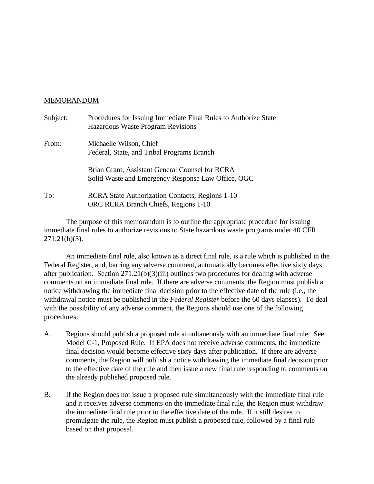## MEMORANDUM

| Subject: | Procedures for Issuing Immediate Final Rules to Authorize State<br>Hazardous Waste Program Revisions  |
|----------|-------------------------------------------------------------------------------------------------------|
| From:    | Michaelle Wilson, Chief<br>Federal, State, and Tribal Programs Branch                                 |
|          | Brian Grant, Assistant General Counsel for RCRA<br>Solid Waste and Emergency Response Law Office, OGC |
| To:      | RCRA State Authorization Contacts, Regions 1-10<br>ORC RCRA Branch Chiefs, Regions 1-10               |

The purpose of this memorandum is to outline the appropriate procedure for issuing immediate final rules to authorize revisions to State hazardous waste programs under 40 CFR 271.21(b)(3).

An immediate final rule, also known as a direct final rule, is a rule which is published in the Federal Register, and, barring any adverse comment, automatically becomes effective sixty days after publication. Section 271.21(b)(3)(iii) outlines two procedures for dealing with adverse comments on an immediate final rule. If there are adverse comments, the Region must publish a notice withdrawing the immediate final decision prior to the effective date of the rule (i.e., the withdrawal notice must be published in the *Federal Register* before the 60 days elapses). To deal with the possibility of any adverse comment, the Regions should use one of the following procedures:

- A. Regions should publish a proposed rule simultaneously with an immediate final rule. See Model C-1, Proposed Rule. If EPA does not receive adverse comments, the immediate final decision would become effective sixty days after publication. If there are adverse comments, the Region will publish a notice withdrawing the immediate final decision prior to the effective date of the rule and then issue a new final rule responding to comments on the already published proposed rule.
- B. If the Region does not issue a proposed rule simultaneously with the immediate final rule and it receives adverse comments on the immediate final rule, the Region must withdraw the immediate final rule prior to the effective date of the rule. If it still desires to promulgate the rule, the Region must publish a proposed rule, followed by a final rule based on that proposal.